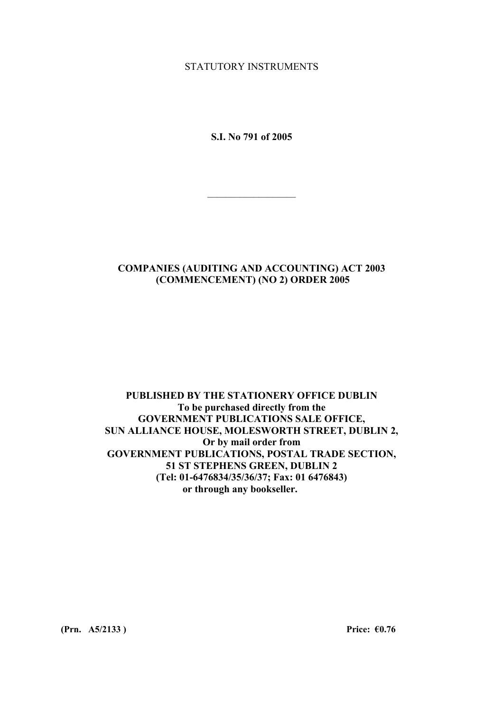STATUTORY INSTRUMENTS

**S.I. No 791 of 2005** 

 $\mathcal{L}_\text{max}$ 

## **COMPANIES (AUDITING AND ACCOUNTING) ACT 2003 (COMMENCEMENT) (NO 2) ORDER 2005**

#### **PUBLISHED BY THE STATIONERY OFFICE DUBLIN To be purchased directly from the GOVERNMENT PUBLICATIONS SALE OFFICE, SUN ALLIANCE HOUSE, MOLESWORTH STREET, DUBLIN 2, Or by mail order from GOVERNMENT PUBLICATIONS, POSTAL TRADE SECTION, 51 ST STEPHENS GREEN, DUBLIN 2 (Tel: 01-6476834/35/36/37; Fax: 01 6476843) or through any bookseller.**

**(Prn. A5/2133 ) Price: €0.76**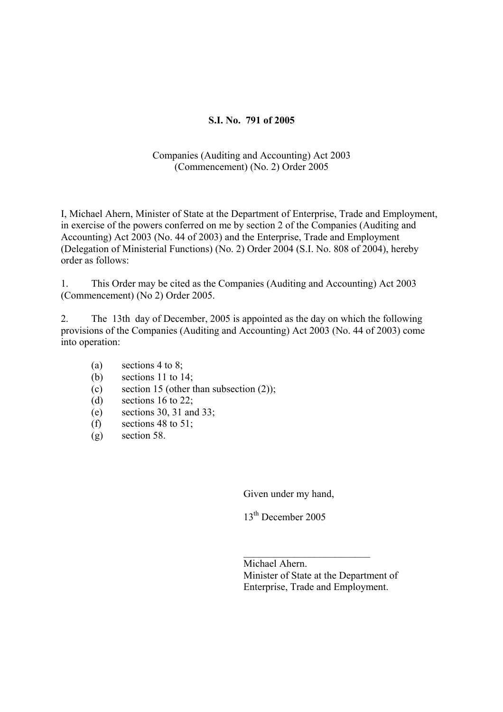## **S.I. No. 791 of 2005**

#### Companies (Auditing and Accounting) Act 2003 (Commencement) (No. 2) Order 2005

I, Michael Ahern, Minister of State at the Department of Enterprise, Trade and Employment, in exercise of the powers conferred on me by section 2 of the Companies (Auditing and Accounting) Act 2003 (No. 44 of 2003) and the Enterprise, Trade and Employment (Delegation of Ministerial Functions) (No. 2) Order 2004 (S.I. No. 808 of 2004), hereby order as follows:

1. This Order may be cited as the Companies (Auditing and Accounting) Act 2003 (Commencement) (No 2) Order 2005.

2. The 13th day of December, 2005 is appointed as the day on which the following provisions of the Companies (Auditing and Accounting) Act 2003 (No. 44 of 2003) come into operation:

- (a) sections 4 to 8;
- (b) sections 11 to 14;
- (c) section 15 (other than subsection (2));
- (d) sections 16 to 22;
- $(e)$  sections 30, 31 and 33;
- (f) sections 48 to 51;
- (g) section 58.

Given under my hand,

13<sup>th</sup> December 2005

Michael Ahern. Minister of State at the Department of Enterprise, Trade and Employment.

 $\mathcal{L}_\text{max}$  , where  $\mathcal{L}_\text{max}$  , we have the set of  $\mathcal{L}_\text{max}$